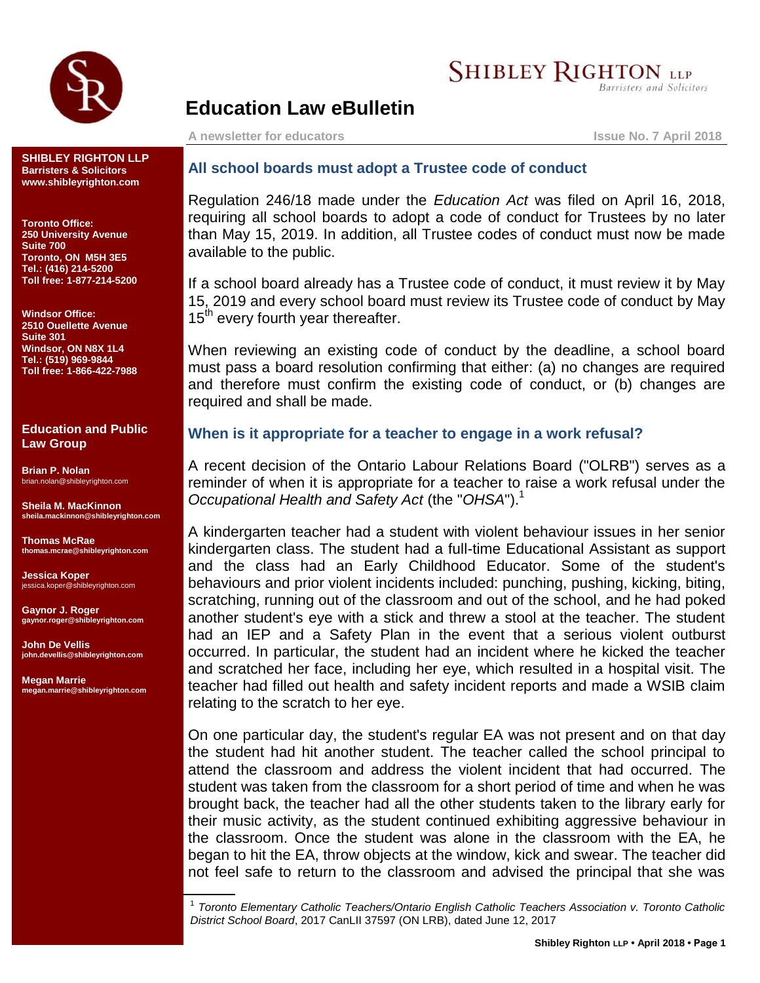

# **SHIBLEY RIGHTON LLP**

Barristers and Solicitors

# **Education Law eBulletin**

**A newsletter for educators Issue No. 7 April 2018**

**SHIBLEY RIGHTON LLP Barristers & Solicitors www.shibleyrighton.com**

**Toronto Office: 250 University Avenue Suite 700 Toronto, ON M5H 3E5 Tel.: (416) 214-5200 Toll free: 1-877-214-5200**

**Windsor Office: 2510 Ouellette Avenue Suite 301 Windsor, ON N8X 1L4 Tel.: (519) 969-9844 Toll free: 1-866-422-7988**

#### **Education and Public Law Group**

**Brian P. Nolan** brian.nolan@shibleyrighton.com

**Sheila M. MacKinnon sheila.mackinnon@shibleyrighton.com**

**Thomas McRae thomas.mcrae@shibleyrighton.com**

**Jessica Koper** jessica.koper@shibleyrighton.com

**Gaynor J. Roger gaynor.roger@shibleyrighton.com**

**John De Vellis john.devellis@shibleyrighton.com**

**Megan Marrie megan.marrie@shibleyrighton.com**

## **All school boards must adopt a Trustee code of conduct**

Regulation 246/18 made under the *Education Act* was filed on April 16, 2018, requiring all school boards to adopt a code of conduct for Trustees by no later than May 15, 2019. In addition, all Trustee codes of conduct must now be made available to the public.

If a school board already has a Trustee code of conduct, it must review it by May 15, 2019 and every school board must review its Trustee code of conduct by May  $15<sup>th</sup>$  every fourth year thereafter.

When reviewing an existing code of conduct by the deadline, a school board must pass a board resolution confirming that either: (a) no changes are required and therefore must confirm the existing code of conduct, or (b) changes are required and shall be made.

### **When is it appropriate for a teacher to engage in a work refusal?**

A recent decision of the Ontario Labour Relations Board ("OLRB") serves as a reminder of when it is appropriate for a teacher to raise a work refusal under the *Occupational Health and Safety Act* (the "*OHSA*").<sup>1</sup>

A kindergarten teacher had a student with violent behaviour issues in her senior kindergarten class. The student had a full-time Educational Assistant as support and the class had an Early Childhood Educator. Some of the student's behaviours and prior violent incidents included: punching, pushing, kicking, biting, scratching, running out of the classroom and out of the school, and he had poked another student's eye with a stick and threw a stool at the teacher. The student had an IEP and a Safety Plan in the event that a serious violent outburst occurred. In particular, the student had an incident where he kicked the teacher and scratched her face, including her eye, which resulted in a hospital visit. The teacher had filled out health and safety incident reports and made a WSIB claim relating to the scratch to her eye.

On one particular day, the student's regular EA was not present and on that day the student had hit another student. The teacher called the school principal to attend the classroom and address the violent incident that had occurred. The student was taken from the classroom for a short period of time and when he was brought back, the teacher had all the other students taken to the library early for their music activity, as the student continued exhibiting aggressive behaviour in the classroom. Once the student was alone in the classroom with the EA, he began to hit the EA, throw objects at the window, kick and swear. The teacher did not feel safe to return to the classroom and advised the principal that she was

1 *Toronto Elementary Catholic Teachers/Ontario English Catholic Teachers Association v. Toronto Catholic District School Board*, 2017 CanLII 37597 (ON LRB), dated June 12, 2017